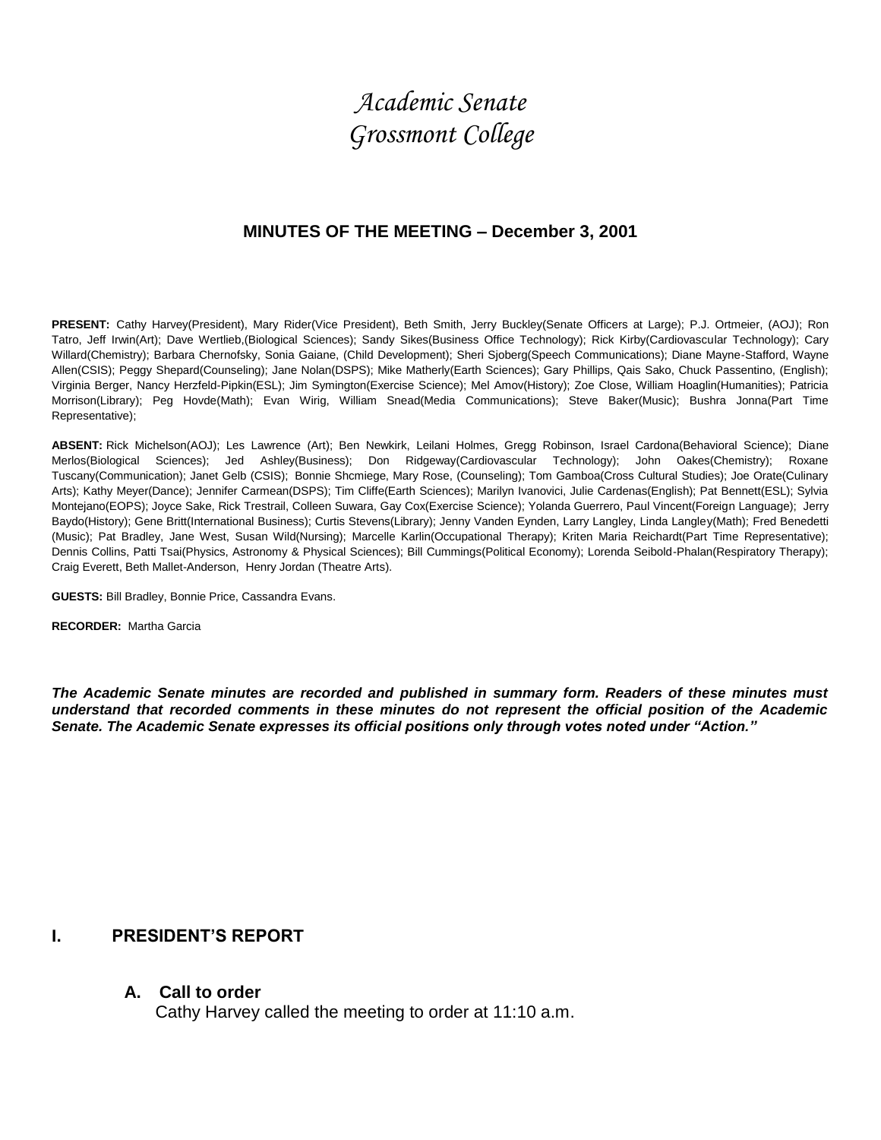# *Academic Senate Grossmont College*

# **MINUTES OF THE MEETING – December 3, 2001**

**PRESENT:** Cathy Harvey(President), Mary Rider(Vice President), Beth Smith, Jerry Buckley(Senate Officers at Large); P.J. Ortmeier, (AOJ); Ron Tatro, Jeff Irwin(Art); Dave Wertlieb,(Biological Sciences); Sandy Sikes(Business Office Technology); Rick Kirby(Cardiovascular Technology); Cary Willard(Chemistry); Barbara Chernofsky, Sonia Gaiane, (Child Development); Sheri Sjoberg(Speech Communications); Diane Mayne-Stafford, Wayne Allen(CSIS); Peggy Shepard(Counseling); Jane Nolan(DSPS); Mike Matherly(Earth Sciences); Gary Phillips, Qais Sako, Chuck Passentino, (English); Virginia Berger, Nancy Herzfeld-Pipkin(ESL); Jim Symington(Exercise Science); Mel Amov(History); Zoe Close, William Hoaglin(Humanities); Patricia Morrison(Library); Peg Hovde(Math); Evan Wirig, William Snead(Media Communications); Steve Baker(Music); Bushra Jonna(Part Time Representative);

**ABSENT:** Rick Michelson(AOJ); Les Lawrence (Art); Ben Newkirk, Leilani Holmes, Gregg Robinson, Israel Cardona(Behavioral Science); Diane Merlos(Biological Sciences); Jed Ashley(Business); Don Ridgeway(Cardiovascular Technology); John Oakes(Chemistry); Roxane Tuscany(Communication); Janet Gelb (CSIS); Bonnie Shcmiege, Mary Rose, (Counseling); Tom Gamboa(Cross Cultural Studies); Joe Orate(Culinary Arts); Kathy Meyer(Dance); Jennifer Carmean(DSPS); Tim Cliffe(Earth Sciences); Marilyn Ivanovici, Julie Cardenas(English); Pat Bennett(ESL); Sylvia Montejano(EOPS); Joyce Sake, Rick Trestrail, Colleen Suwara, Gay Cox(Exercise Science); Yolanda Guerrero, Paul Vincent(Foreign Language); Jerry Baydo(History); Gene Britt(International Business); Curtis Stevens(Library); Jenny Vanden Eynden, Larry Langley, Linda Langley(Math); Fred Benedetti (Music); Pat Bradley, Jane West, Susan Wild(Nursing); Marcelle Karlin(Occupational Therapy); Kriten Maria Reichardt(Part Time Representative); Dennis Collins, Patti Tsai(Physics, Astronomy & Physical Sciences); Bill Cummings(Political Economy); Lorenda Seibold-Phalan(Respiratory Therapy); Craig Everett, Beth Mallet-Anderson, Henry Jordan (Theatre Arts).

**GUESTS:** Bill Bradley, Bonnie Price, Cassandra Evans.

**RECORDER:** Martha Garcia

*The Academic Senate minutes are recorded and published in summary form. Readers of these minutes must understand that recorded comments in these minutes do not represent the official position of the Academic Senate. The Academic Senate expresses its official positions only through votes noted under "Action."*

# **I. PRESIDENT'S REPORT**

## **A. Call to order**

Cathy Harvey called the meeting to order at 11:10 a.m.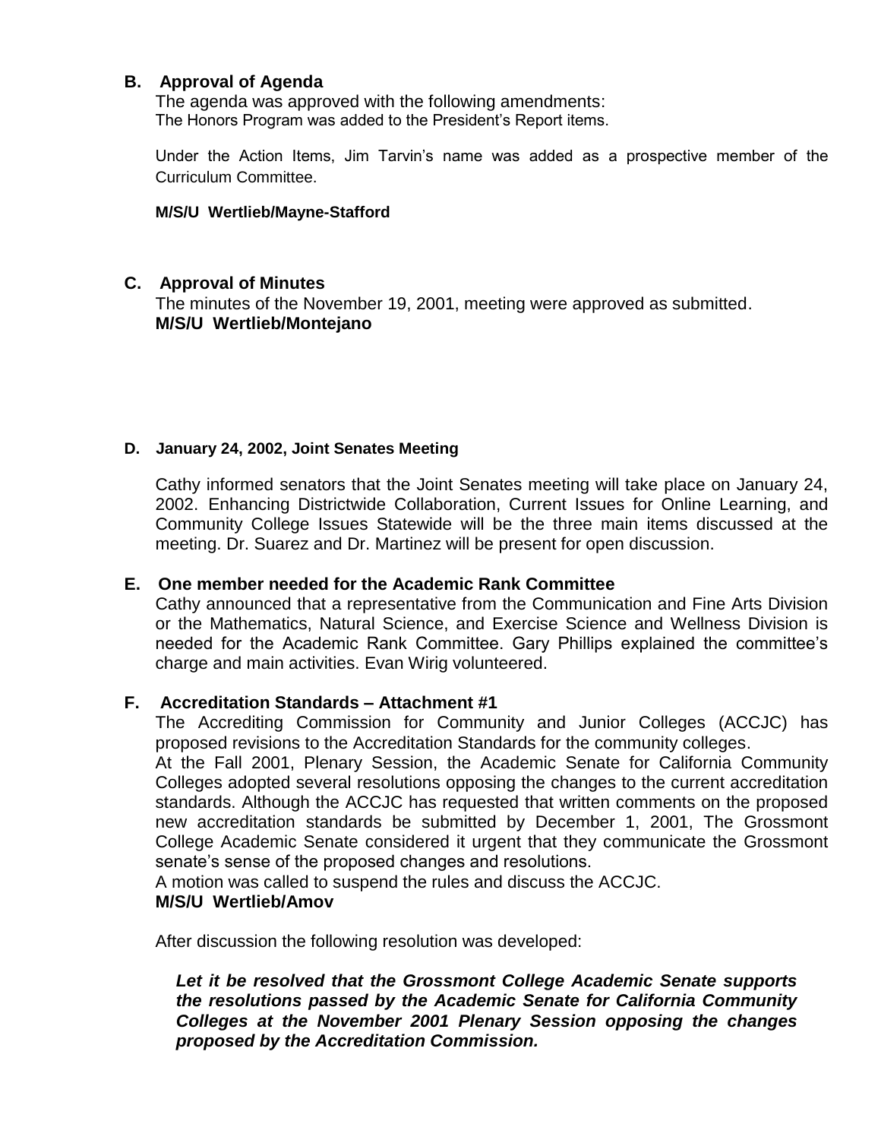# **B. Approval of Agenda**

The agenda was approved with the following amendments: The Honors Program was added to the President's Report items.

Under the Action Items, Jim Tarvin's name was added as a prospective member of the Curriculum Committee.

#### **M/S/U Wertlieb/Mayne-Stafford**

## **C. Approval of Minutes**

The minutes of the November 19, 2001, meeting were approved as submitted. **M/S/U Wertlieb/Montejano**

## **D. January 24, 2002, Joint Senates Meeting**

Cathy informed senators that the Joint Senates meeting will take place on January 24, 2002. Enhancing Districtwide Collaboration, Current Issues for Online Learning, and Community College Issues Statewide will be the three main items discussed at the meeting. Dr. Suarez and Dr. Martinez will be present for open discussion.

## **E. One member needed for the Academic Rank Committee**

Cathy announced that a representative from the Communication and Fine Arts Division or the Mathematics, Natural Science, and Exercise Science and Wellness Division is needed for the Academic Rank Committee. Gary Phillips explained the committee's charge and main activities. Evan Wirig volunteered.

## **F. Accreditation Standards – Attachment #1**

The Accrediting Commission for Community and Junior Colleges (ACCJC) has proposed revisions to the Accreditation Standards for the community colleges.

At the Fall 2001, Plenary Session, the Academic Senate for California Community Colleges adopted several resolutions opposing the changes to the current accreditation standards. Although the ACCJC has requested that written comments on the proposed new accreditation standards be submitted by December 1, 2001, The Grossmont College Academic Senate considered it urgent that they communicate the Grossmont senate's sense of the proposed changes and resolutions.

A motion was called to suspend the rules and discuss the ACCJC.

## **M/S/U Wertlieb/Amov**

After discussion the following resolution was developed:

*Let it be resolved that the Grossmont College Academic Senate supports the resolutions passed by the Academic Senate for California Community Colleges at the November 2001 Plenary Session opposing the changes proposed by the Accreditation Commission.*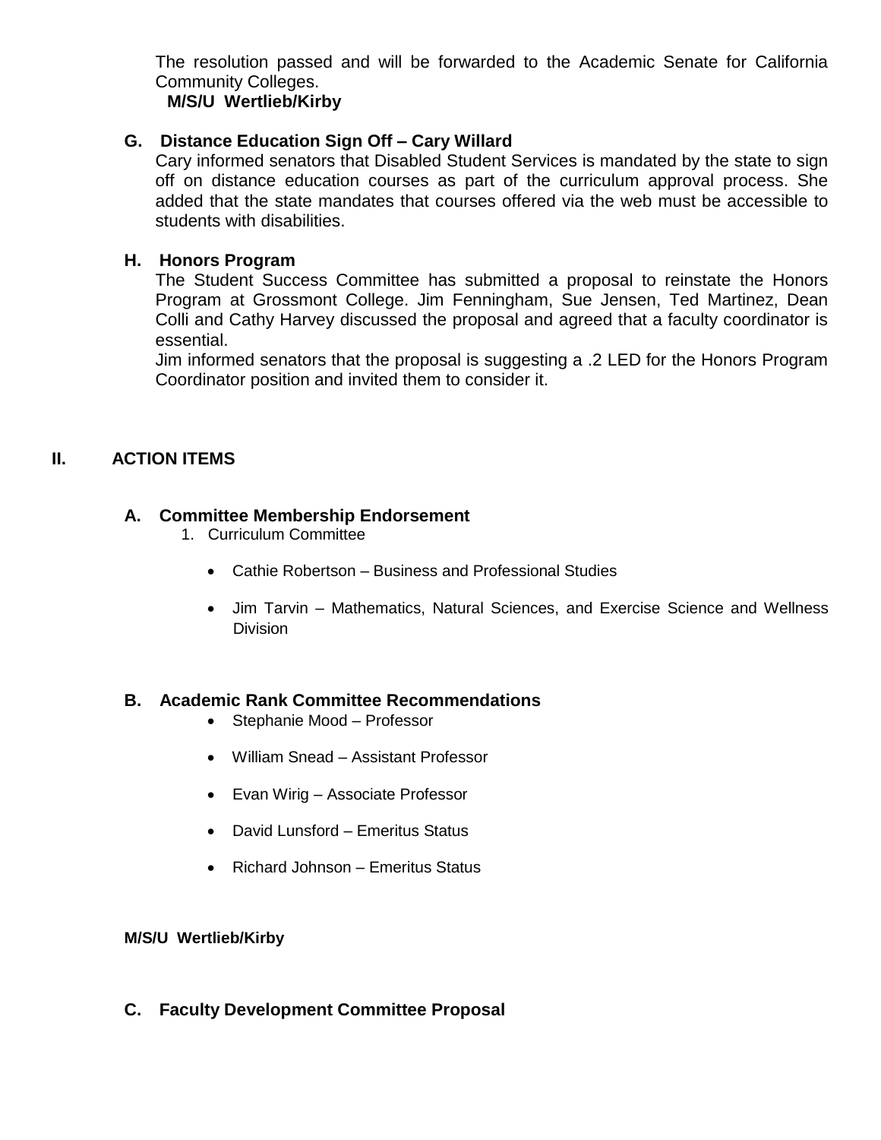The resolution passed and will be forwarded to the Academic Senate for California Community Colleges.

## **M/S/U Wertlieb/Kirby**

# **G. Distance Education Sign Off – Cary Willard**

Cary informed senators that Disabled Student Services is mandated by the state to sign off on distance education courses as part of the curriculum approval process. She added that the state mandates that courses offered via the web must be accessible to students with disabilities.

# **H. Honors Program**

The Student Success Committee has submitted a proposal to reinstate the Honors Program at Grossmont College. Jim Fenningham, Sue Jensen, Ted Martinez, Dean Colli and Cathy Harvey discussed the proposal and agreed that a faculty coordinator is essential.

Jim informed senators that the proposal is suggesting a .2 LED for the Honors Program Coordinator position and invited them to consider it.

# **II. ACTION ITEMS**

# **A. Committee Membership Endorsement**

- 1. Curriculum Committee
	- Cathie Robertson Business and Professional Studies
	- Jim Tarvin Mathematics, Natural Sciences, and Exercise Science and Wellness Division

# **B. Academic Rank Committee Recommendations**

- Stephanie Mood Professor
- William Snead Assistant Professor
- Evan Wirig Associate Professor
- David Lunsford Emeritus Status
- Richard Johnson Emeritus Status

## **M/S/U Wertlieb/Kirby**

**C. Faculty Development Committee Proposal**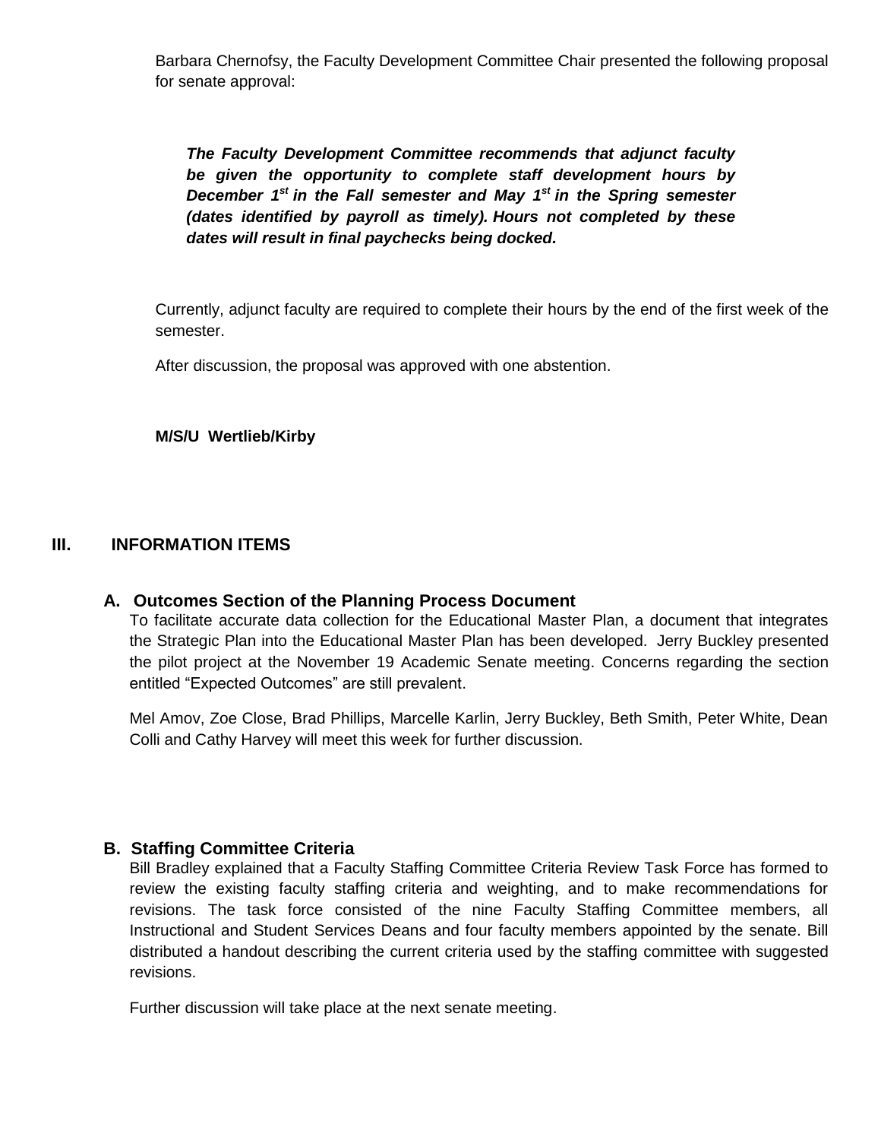Barbara Chernofsy, the Faculty Development Committee Chair presented the following proposal for senate approval:

*The Faculty Development Committee recommends that adjunct faculty be given the opportunity to complete staff development hours by December 1st in the Fall semester and May 1st in the Spring semester (dates identified by payroll as timely). Hours not completed by these dates will result in final paychecks being docked.*

Currently, adjunct faculty are required to complete their hours by the end of the first week of the semester.

After discussion, the proposal was approved with one abstention.

#### **M/S/U Wertlieb/Kirby**

## **III. INFORMATION ITEMS**

## **A. Outcomes Section of the Planning Process Document**

To facilitate accurate data collection for the Educational Master Plan, a document that integrates the Strategic Plan into the Educational Master Plan has been developed. Jerry Buckley presented the pilot project at the November 19 Academic Senate meeting. Concerns regarding the section entitled "Expected Outcomes" are still prevalent.

Mel Amov, Zoe Close, Brad Phillips, Marcelle Karlin, Jerry Buckley, Beth Smith, Peter White, Dean Colli and Cathy Harvey will meet this week for further discussion.

## **B. Staffing Committee Criteria**

Bill Bradley explained that a Faculty Staffing Committee Criteria Review Task Force has formed to review the existing faculty staffing criteria and weighting, and to make recommendations for revisions. The task force consisted of the nine Faculty Staffing Committee members, all Instructional and Student Services Deans and four faculty members appointed by the senate. Bill distributed a handout describing the current criteria used by the staffing committee with suggested revisions.

Further discussion will take place at the next senate meeting.